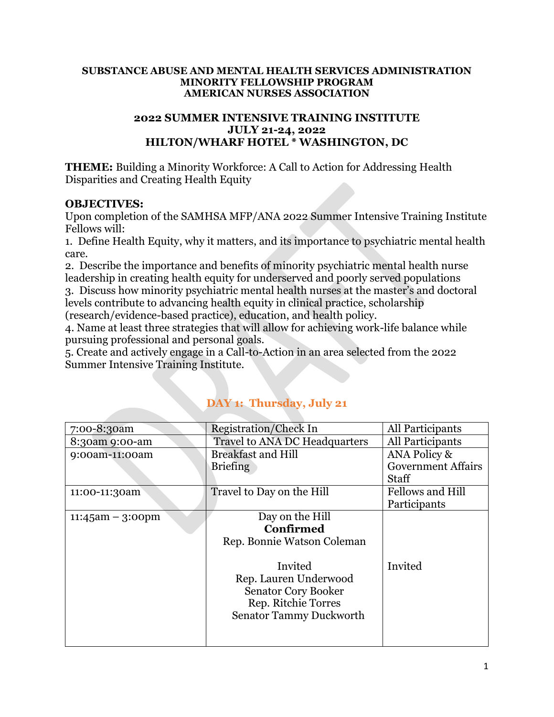#### **SUBSTANCE ABUSE AND MENTAL HEALTH SERVICES ADMINISTRATION MINORITY FELLOWSHIP PROGRAM AMERICAN NURSES ASSOCIATION**

#### **2022 SUMMER INTENSIVE TRAINING INSTITUTE JULY 21-24, 2022 HILTON/WHARF HOTEL \* WASHINGTON, DC**

**THEME:** Building a Minority Workforce: A Call to Action for Addressing Health Disparities and Creating Health Equity

### **OBJECTIVES:**

Upon completion of the SAMHSA MFP/ANA 2022 Summer Intensive Training Institute Fellows will:

1. Define Health Equity, why it matters, and its importance to psychiatric mental health care.

2. Describe the importance and benefits of minority psychiatric mental health nurse leadership in creating health equity for underserved and poorly served populations

3. Discuss how minority psychiatric mental health nurses at the master's and doctoral levels contribute to advancing health equity in clinical practice, scholarship (research/evidence-based practice), education, and health policy.

4. Name at least three strategies that will allow for achieving work-life balance while pursuing professional and personal goals.

5. Create and actively engage in a Call-to-Action in an area selected from the 2022 Summer Intensive Training Institute.

| 7:00-8:30am         | <b>Registration/Check In</b>         | All Participants          |
|---------------------|--------------------------------------|---------------------------|
| 8:30am 9:00-am      | <b>Travel to ANA DC Headquarters</b> | All Participants          |
| 9:00am-11:00am      | <b>Breakfast and Hill</b>            | ANA Policy &              |
|                     | <b>Briefing</b>                      | <b>Government Affairs</b> |
|                     |                                      | <b>Staff</b>              |
| 11:00-11:30am       | Travel to Day on the Hill            | <b>Fellows and Hill</b>   |
|                     |                                      | Participants              |
| $11:45$ am – 3:00pm | Day on the Hill                      |                           |
|                     | <b>Confirmed</b>                     |                           |
|                     | Rep. Bonnie Watson Coleman           |                           |
|                     |                                      |                           |
|                     | Invited                              | Invited                   |
|                     | Rep. Lauren Underwood                |                           |
|                     | <b>Senator Cory Booker</b>           |                           |
|                     | Rep. Ritchie Torres                  |                           |
|                     | <b>Senator Tammy Duckworth</b>       |                           |
|                     |                                      |                           |
|                     |                                      |                           |

## **DAY 1: Thursday, July 21**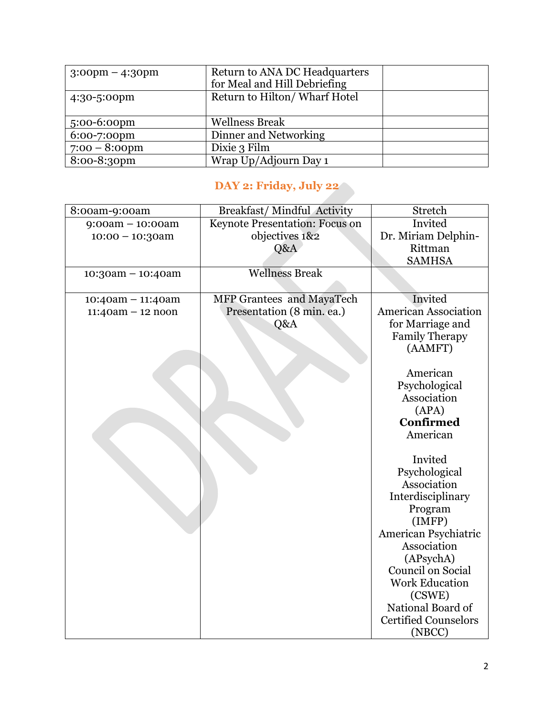| $3:00 \text{pm} - 4:30 \text{pm}$ | Return to ANA DC Headquarters<br>for Meal and Hill Debriefing |  |
|-----------------------------------|---------------------------------------------------------------|--|
| 4:30-5:00pm                       | Return to Hilton/Wharf Hotel                                  |  |
| $5:00-6:00$ pm                    | <b>Wellness Break</b>                                         |  |
| 6:00-7:00pm                       | Dinner and Networking                                         |  |
| $7:00 - 8:00$ pm                  | Dixie 3 Film                                                  |  |
| 8:00-8:30pm                       | Wrap Up/Adjourn Day 1                                         |  |

# **DAY 2: Friday, July 22**

| 8:00am-9:00am       | <b>Breakfast/Mindful Activity</b> | Stretch                     |
|---------------------|-----------------------------------|-----------------------------|
| $9:00am - 10:00am$  | Keynote Presentation: Focus on    | Invited                     |
| $10:00 - 10:30$ am  | objectives 1&2                    | Dr. Miriam Delphin-         |
|                     | Q&A                               | Rittman                     |
|                     |                                   | <b>SAMHSA</b>               |
| $10:30am - 10:40am$ | <b>Wellness Break</b>             |                             |
| $10:40am - 11:40am$ | MFP Grantees and MayaTech         | Invited                     |
| $11:40am - 12 noon$ | Presentation (8 min. ea.)         | <b>American Association</b> |
|                     | Q&A                               | for Marriage and            |
|                     |                                   | <b>Family Therapy</b>       |
|                     |                                   | (AAMFT)                     |
|                     |                                   | American                    |
|                     |                                   | Psychological               |
|                     |                                   | Association                 |
|                     |                                   | (APA)                       |
|                     |                                   | <b>Confirmed</b>            |
|                     |                                   | American                    |
|                     |                                   |                             |
|                     |                                   | Invited                     |
|                     |                                   | Psychological               |
|                     |                                   | Association                 |
|                     |                                   | Interdisciplinary           |
|                     |                                   | Program                     |
|                     |                                   | (IMFP)                      |
|                     |                                   | American Psychiatric        |
|                     |                                   | Association                 |
|                     |                                   | (APsychA)                   |
|                     |                                   | <b>Council on Social</b>    |
|                     |                                   | <b>Work Education</b>       |
|                     |                                   | (CSWE)                      |
|                     |                                   | National Board of           |
|                     |                                   | <b>Certified Counselors</b> |
|                     |                                   | (NBCC)                      |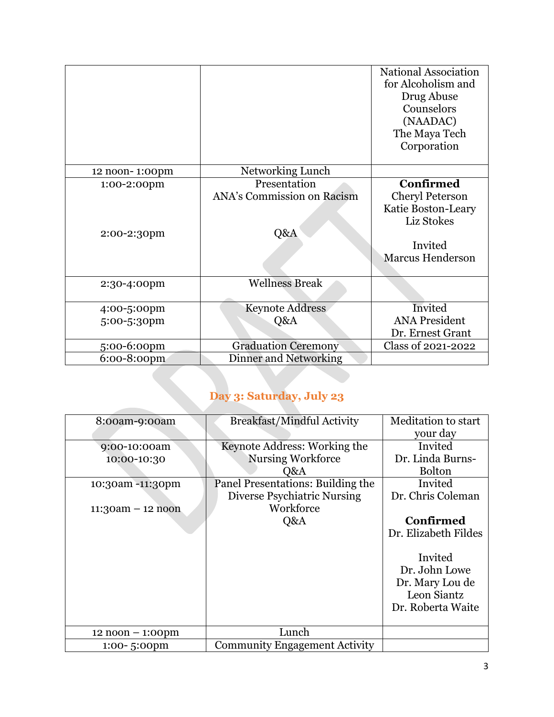|                |                                   | National Association<br>for Alcoholism and<br>Drug Abuse<br>Counselors<br>(NAADAC)<br>The Maya Tech<br>Corporation |
|----------------|-----------------------------------|--------------------------------------------------------------------------------------------------------------------|
| 12 noon-1:00pm | Networking Lunch                  |                                                                                                                    |
| 1:00-2:00pm    | Presentation                      | <b>Confirmed</b>                                                                                                   |
| 2:00-2:30pm    | ANA's Commission on Racism<br>Q&A | Cheryl Peterson<br>Katie Boston-Leary<br>Liz Stokes<br>Invited<br><b>Marcus Henderson</b>                          |
| 2:30-4:00pm    | <b>Wellness Break</b>             |                                                                                                                    |
| 4:00-5:00pm    | <b>Keynote Address</b>            | Invited                                                                                                            |
| 5:00-5:30pm    | Q&A                               | <b>ANA President</b><br>Dr. Ernest Grant                                                                           |
| 5:00-6:00pm    | <b>Graduation Ceremony</b>        | Class of 2021-2022                                                                                                 |
| 6:00-8:00pm    | <b>Dinner and Networking</b>      |                                                                                                                    |

# **Day 3: Saturday, July 23**

| 8:00am-9:00am                      | <b>Breakfast/Mindful Activity</b>    | Meditation to start  |
|------------------------------------|--------------------------------------|----------------------|
|                                    |                                      | your day             |
| 9:00-10:00am                       | Keynote Address: Working the         | Invited              |
| 10:00-10:30                        | <b>Nursing Workforce</b>             | Dr. Linda Burns-     |
|                                    | Q&A                                  | <b>Bolton</b>        |
| 10:30am -11:30pm                   | Panel Presentations: Building the    | Invited              |
|                                    | Diverse Psychiatric Nursing          | Dr. Chris Coleman    |
| $11:30am - 12 noon$                | Workforce                            |                      |
|                                    | Q&A                                  | Confirmed            |
|                                    |                                      | Dr. Elizabeth Fildes |
|                                    |                                      |                      |
|                                    |                                      | Invited              |
|                                    |                                      | Dr. John Lowe        |
|                                    |                                      | Dr. Mary Lou de      |
|                                    |                                      | Leon Siantz          |
|                                    |                                      | Dr. Roberta Waite    |
|                                    |                                      |                      |
| $12 \text{ noon} - 1:00 \text{pm}$ | Lunch                                |                      |
| $1:00 - 5:00$ pm                   | <b>Community Engagement Activity</b> |                      |